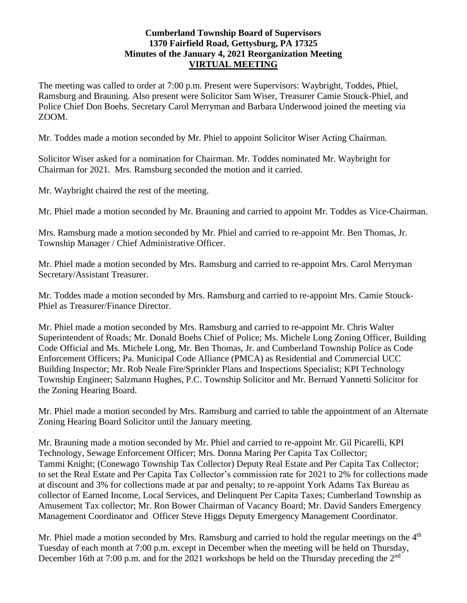## **Cumberland Township Board of Supervisors 1370 Fairfield Road, Gettysburg, PA 17325 Minutes of the January 4, 2021 Reorganization Meeting VIRTUAL MEETING**

The meeting was called to order at 7:00 p.m. Present were Supervisors: Waybright, Toddes, Phiel, Ramsburg and Brauning. Also present were Solicitor Sam Wiser, Treasurer Camie Stouck-Phiel, and Police Chief Don Boehs. Secretary Carol Merryman and Barbara Underwood joined the meeting via ZOOM.

Mr. Toddes made a motion seconded by Mr. Phiel to appoint Solicitor Wiser Acting Chairman.

Solicitor Wiser asked for a nomination for Chairman. Mr. Toddes nominated Mr. Waybright for Chairman for 2021. Mrs. Ramsburg seconded the motion and it carried.

Mr. Waybright chaired the rest of the meeting.

Mr. Phiel made a motion seconded by Mr. Brauning and carried to appoint Mr. Toddes as Vice-Chairman.

Mrs. Ramsburg made a motion seconded by Mr. Phiel and carried to re-appoint Mr. Ben Thomas, Jr. Township Manager / Chief Administrative Officer.

Mr. Phiel made a motion seconded by Mrs. Ramsburg and carried to re-appoint Mrs. Carol Merryman Secretary/Assistant Treasurer.

Mr. Toddes made a motion seconded by Mrs. Ramsburg and carried to re-appoint Mrs. Camie Stouck-Phiel as Treasurer/Finance Director.

Mr. Phiel made a motion seconded by Mrs. Ramsburg and carried to re-appoint Mr. Chris Walter Superintendent of Roads; Mr. Donald Boehs Chief of Police; Ms. Michele Long Zoning Officer, Building Code Official and Ms. Michele Long, Mr. Ben Thomas, Jr. and Cumberland Township Police as Code Enforcement Officers; Pa. Municipal Code Alliance (PMCA) as Residential and Commercial UCC Building Inspector; Mr. Rob Neale Fire/Sprinkler Plans and Inspections Specialist; KPI Technology Township Engineer; Salzmann Hughes, P.C. Township Solicitor and Mr. Bernard Yannetti Solicitor for the Zoning Hearing Board.

Mr. Phiel made a motion seconded by Mrs. Ramsburg and carried to table the appointment of an Alternate Zoning Hearing Board Solicitor until the January meeting.

Mr. Brauning made a motion seconded by Mr. Phiel and carried to re-appoint Mr. Gil Picarelli, KPI Technology, Sewage Enforcement Officer; Mrs. Donna Maring Per Capita Tax Collector; Tammi Knight; (Conewago Township Tax Collector) Deputy Real Estate and Per Capita Tax Collector; to set the Real Estate and Per Capita Tax Collector's commission rate for 2021 to 2% for collections made at discount and 3% for collections made at par and penalty; to re-appoint York Adams Tax Bureau as collector of Earned Income, Local Services, and Delinquent Per Capita Taxes; Cumberland Township as Amusement Tax collector; Mr. Ron Bower Chairman of Vacancy Board; Mr. David Sanders Emergency Management Coordinator and Officer Steve Higgs Deputy Emergency Management Coordinator.

Mr. Phiel made a motion seconded by Mrs. Ramsburg and carried to hold the regular meetings on the  $4<sup>th</sup>$ Tuesday of each month at 7:00 p.m. except in December when the meeting will be held on Thursday, December 16th at 7:00 p.m. and for the 2021 workshops be held on the Thursday preceding the 2<sup>nd</sup>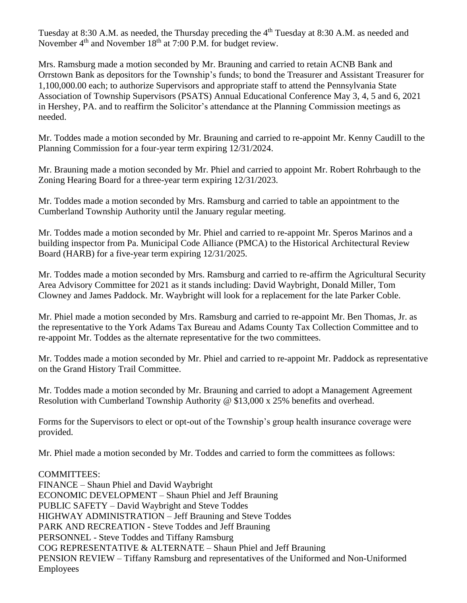Tuesday at 8:30 A.M. as needed, the Thursday preceding the 4<sup>th</sup> Tuesday at 8:30 A.M. as needed and November  $4<sup>th</sup>$  and November 18<sup>th</sup> at 7:00 P.M. for budget review.

Mrs. Ramsburg made a motion seconded by Mr. Brauning and carried to retain ACNB Bank and Orrstown Bank as depositors for the Township's funds; to bond the Treasurer and Assistant Treasurer for 1,100,000.00 each; to authorize Supervisors and appropriate staff to attend the Pennsylvania State Association of Township Supervisors (PSATS) Annual Educational Conference May 3, 4, 5 and 6, 2021 in Hershey, PA. and to reaffirm the Solicitor's attendance at the Planning Commission meetings as needed.

Mr. Toddes made a motion seconded by Mr. Brauning and carried to re-appoint Mr. Kenny Caudill to the Planning Commission for a four-year term expiring 12/31/2024.

Mr. Brauning made a motion seconded by Mr. Phiel and carried to appoint Mr. Robert Rohrbaugh to the Zoning Hearing Board for a three-year term expiring 12/31/2023.

Mr. Toddes made a motion seconded by Mrs. Ramsburg and carried to table an appointment to the Cumberland Township Authority until the January regular meeting.

Mr. Toddes made a motion seconded by Mr. Phiel and carried to re-appoint Mr. Speros Marinos and a building inspector from Pa. Municipal Code Alliance (PMCA) to the Historical Architectural Review Board (HARB) for a five-year term expiring 12/31/2025.

Mr. Toddes made a motion seconded by Mrs. Ramsburg and carried to re-affirm the Agricultural Security Area Advisory Committee for 2021 as it stands including: David Waybright, Donald Miller, Tom Clowney and James Paddock. Mr. Waybright will look for a replacement for the late Parker Coble.

Mr. Phiel made a motion seconded by Mrs. Ramsburg and carried to re-appoint Mr. Ben Thomas, Jr. as the representative to the York Adams Tax Bureau and Adams County Tax Collection Committee and to re-appoint Mr. Toddes as the alternate representative for the two committees.

Mr. Toddes made a motion seconded by Mr. Phiel and carried to re-appoint Mr. Paddock as representative on the Grand History Trail Committee.

Mr. Toddes made a motion seconded by Mr. Brauning and carried to adopt a Management Agreement Resolution with Cumberland Township Authority @ \$13,000 x 25% benefits and overhead.

Forms for the Supervisors to elect or opt-out of the Township's group health insurance coverage were provided.

Mr. Phiel made a motion seconded by Mr. Toddes and carried to form the committees as follows:

COMMITTEES: FINANCE – Shaun Phiel and David Waybright ECONOMIC DEVELOPMENT – Shaun Phiel and Jeff Brauning PUBLIC SAFETY – David Waybright and Steve Toddes HIGHWAY ADMINISTRATION – Jeff Brauning and Steve Toddes PARK AND RECREATION - Steve Toddes and Jeff Brauning PERSONNEL - Steve Toddes and Tiffany Ramsburg COG REPRESENTATIVE & ALTERNATE – Shaun Phiel and Jeff Brauning PENSION REVIEW – Tiffany Ramsburg and representatives of the Uniformed and Non-Uniformed Employees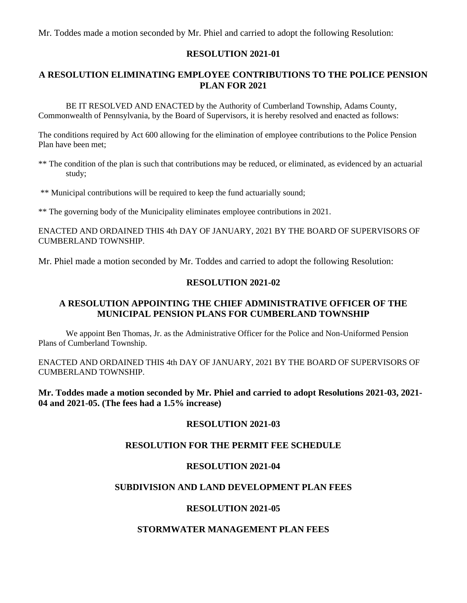Mr. Toddes made a motion seconded by Mr. Phiel and carried to adopt the following Resolution:

### **RESOLUTION 2021-01**

## **A RESOLUTION ELIMINATING EMPLOYEE CONTRIBUTIONS TO THE POLICE PENSION PLAN FOR 2021**

BE IT RESOLVED AND ENACTED by the Authority of Cumberland Township, Adams County, Commonwealth of Pennsylvania, by the Board of Supervisors, it is hereby resolved and enacted as follows:

The conditions required by Act 600 allowing for the elimination of employee contributions to the Police Pension Plan have been met;

- \*\* The condition of the plan is such that contributions may be reduced, or eliminated, as evidenced by an actuarial study;
- \*\* Municipal contributions will be required to keep the fund actuarially sound;

\*\* The governing body of the Municipality eliminates employee contributions in 2021.

ENACTED AND ORDAINED THIS 4th DAY OF JANUARY, 2021 BY THE BOARD OF SUPERVISORS OF CUMBERLAND TOWNSHIP.

Mr. Phiel made a motion seconded by Mr. Toddes and carried to adopt the following Resolution:

## **RESOLUTION 2021-02**

## **A RESOLUTION APPOINTING THE CHIEF ADMINISTRATIVE OFFICER OF THE MUNICIPAL PENSION PLANS FOR CUMBERLAND TOWNSHIP**

We appoint Ben Thomas, Jr. as the Administrative Officer for the Police and Non-Uniformed Pension Plans of Cumberland Township.

ENACTED AND ORDAINED THIS 4th DAY OF JANUARY, 2021 BY THE BOARD OF SUPERVISORS OF CUMBERLAND TOWNSHIP.

### **Mr. Toddes made a motion seconded by Mr. Phiel and carried to adopt Resolutions 2021-03, 2021- 04 and 2021-05. (The fees had a 1.5% increase)**

### **RESOLUTION 2021-03**

## **RESOLUTION FOR THE PERMIT FEE SCHEDULE**

### **RESOLUTION 2021-04**

## **SUBDIVISION AND LAND DEVELOPMENT PLAN FEES**

### **RESOLUTION 2021-05**

### **STORMWATER MANAGEMENT PLAN FEES**